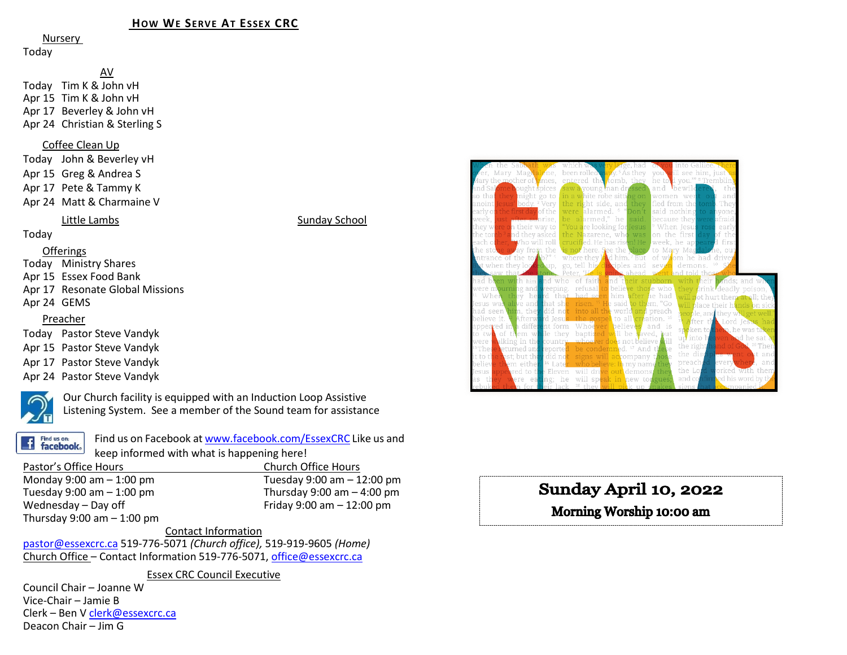## **HOW WE SERVE AT ESSEX CRC**

Nursery

#### Today

AV Today Tim K & John vH Apr 15 Tim K & John vH Apr 17 Beverley & John vH Apr 24 Christian & Sterling S

#### Coffee Clean Up

Today John & Beverley vH Apr 15 Greg & Andrea S Apr 17 Pete & Tammy K Apr 24 Matt & Charmaine V

#### Little Lambs **Sunday School**

Today

#### Offerings

Today Ministry Shares

- Apr 15 Essex Food Bank
- Apr 17 Resonate Global Missions
- Apr 24 GEMS

## Preacher

Today Pastor Steve Vandyk

- Apr 15 Pastor Steve Vandyk
- Apr 17 Pastor Steve Vandyk
- Apr 24 Pastor Steve Vandyk



Our Church facility is equipped with an Induction Loop Assistive Listening System. See a member of the Sound team for assistance



Find us on Facebook a[t www.facebook.com/EssexCRC](http://www.facebook.com/EssexCRC) Like us and keep informed with what is happening here!

Pastor's Office Hours<br>
Monday 9:00 am – 1:00 pm<br>
Tuesday 9:00 am – 1 Monday 9:00 am – 1:00 pm Tuesday 9:00 am – 12:00 pm Tuesday 9:00 am  $-$  1:00 pm  $\blacksquare$  Thursday 9:00 am  $-$  4:00 pm  $\blacksquare$  Wednesday  $-$  Day off  $\blacksquare$ Thursday  $9:00$  am  $-1:00$  pm

Friday 9:00 am  $-$  12:00 pm

Contact Information

[pastor@essexcrc.ca](mailto:pastor@essexcrc.ca) 519-776-5071 *(Church office),* 519-919-9605 *(Home)* Church Office – Contact Information 519-776-5071[, office@essexcrc.ca](mailto:office@essexcrc.ca)

Essex CRC Council Executive

Council Chair – Joanne W Vice-Chair – Jamie B Clerk – Ben V [clerk@essexcrc.ca](mailto:clerk@essexcrc.ca) Deacon Chair – Jim G



# Sunday April 10, 2022

# Morning Worship 10:00 am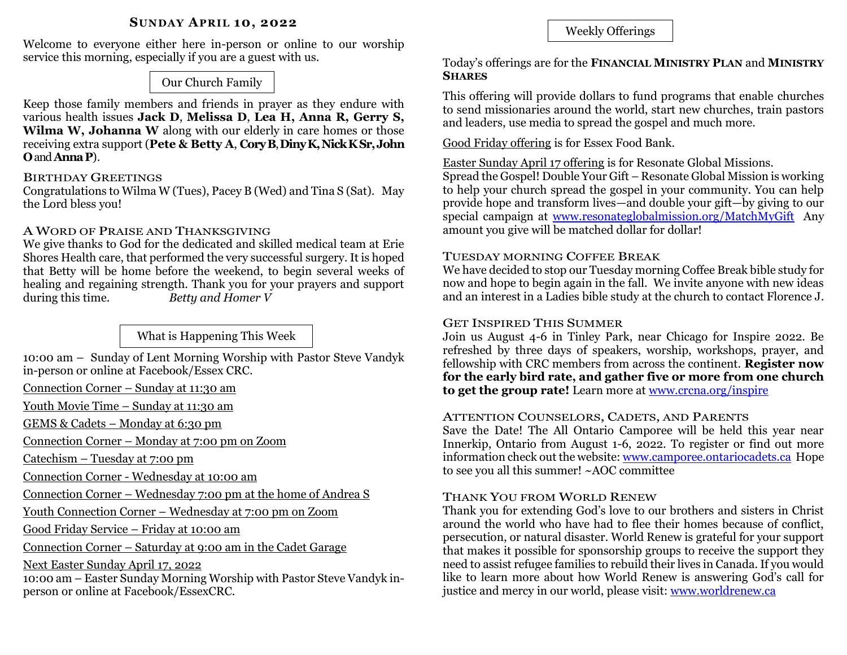# **SUNDAY APRIL 10, 2022**

Welcome to everyone either here in-person or online to our worship service this morning, especially if you are a guest with us.

Our Church Family

Keep those family members and friends in prayer as they endure with various health issues **Jack D**, **Melissa D**, **Lea H, Anna R, Gerry S, Wilma W, Johanna W** along with our elderly in care homes or those receiving extra support (**Pete & Betty A**, **CoryB**, **DinyK, Nick KSr,John O**and **AnnaP**).

#### BIRTHDAY GREETINGS

Congratulations to Wilma W (Tues), Pacey B (Wed) and Tina S (Sat). May the Lord bless you!

# A WORD OF PRAISE AND THANKSGIVING

We give thanks to God for the dedicated and skilled medical team at Erie Shores Health care, that performed the very successful surgery. It is hoped that Betty will be home before the weekend, to begin several weeks of healing and regaining strength. Thank you for your prayers and support during this time. *Betty and Homer V*

What is Happening This Week

10:00 am – Sunday of Lent Morning Worship with Pastor Steve Vandyk in-person or online at Facebook/Essex CRC.

Connection Corner – Sunday at 11:30 am

Youth Movie Time – Sunday at 11:30 am

GEMS & Cadets – Monday at 6:30 pm

Connection Corner – Monday at 7:00 pm on Zoom

Catechism – Tuesday at 7:00 pm

Connection Corner - Wednesday at 10:00 am

Connection Corner – Wednesday 7:00 pm at the home of Andrea S

Youth Connection Corner – Wednesday at 7:00 pm on Zoom

Good Friday Service – Friday at 10:00 am

Connection Corner – Saturday at 9:00 am in the Cadet Garage

Next Easter Sunday April 17, 2022

10:00 am – Easter Sunday Morning Worship with Pastor Steve Vandyk inperson or online at Facebook/EssexCRC.

Weekly Offerings

# Today's offerings are for the **FINANCIAL MINISTRY PLAN** and **MINISTRY SHARES**

This offering will provide dollars to fund programs that enable churches to send missionaries around the world, start new churches, train pastors and leaders, use media to spread the gospel and much more.

Good Friday offering is for Essex Food Bank.

# Easter Sunday April 17 offering is for Resonate Global Missions.

Spread the Gospel! Double Your Gift – Resonate Global Mission is working to help your church spread the gospel in your community. You can help provide hope and transform lives—and double your gift—by giving to our special campaign at [www.resonateglobalmission.org/MatchMyGift](http://www.resonateglobalmission.org/MatchMyGift) Any amount you give will be matched dollar for dollar!

# TUESDAY MORNING COFFEE BREAK

We have decided to stop our Tuesday morning Coffee Break bible study for now and hope to begin again in the fall. We invite anyone with new ideas and an interest in a Ladies bible study at the church to contact Florence J.

# GET INSPIRED THIS SUMMER

Join us August 4-6 in Tinley Park, near Chicago for Inspire 2022. Be refreshed by three days of speakers, worship, workshops, prayer, and fellowship with CRC members from across the continent. **Register now for the early bird rate, and gather five or more from one church to get the group rate!** Learn more at [www.crcna.org/inspire](http://www.crcna.org/inspire)

#### ATTENTION COUNSELORS, CADETS, AND PARENTS

Save the Date! The All Ontario Camporee will be held this year near Innerkip, Ontario from August 1-6, 2022. To register or find out more information check out the website[: www.camporee.ontariocadets.ca](http://www.camporee.ontariocadets.ca/) Hope to see you all this summer! ~AOC committee

# THANK YOU FROM WORLD RENEW

Thank you for extending God's love to our brothers and sisters in Christ around the world who have had to flee their homes because of conflict, persecution, or natural disaster. World Renew is grateful for your support that makes it possible for sponsorship groups to receive the support they need to assist refugee families to rebuild their lives in Canada. If you would like to learn more about how World Renew is answering God's call for justice and mercy in our world, please visit: [www.worldrenew.ca](http://www.worldrenew.ca/)